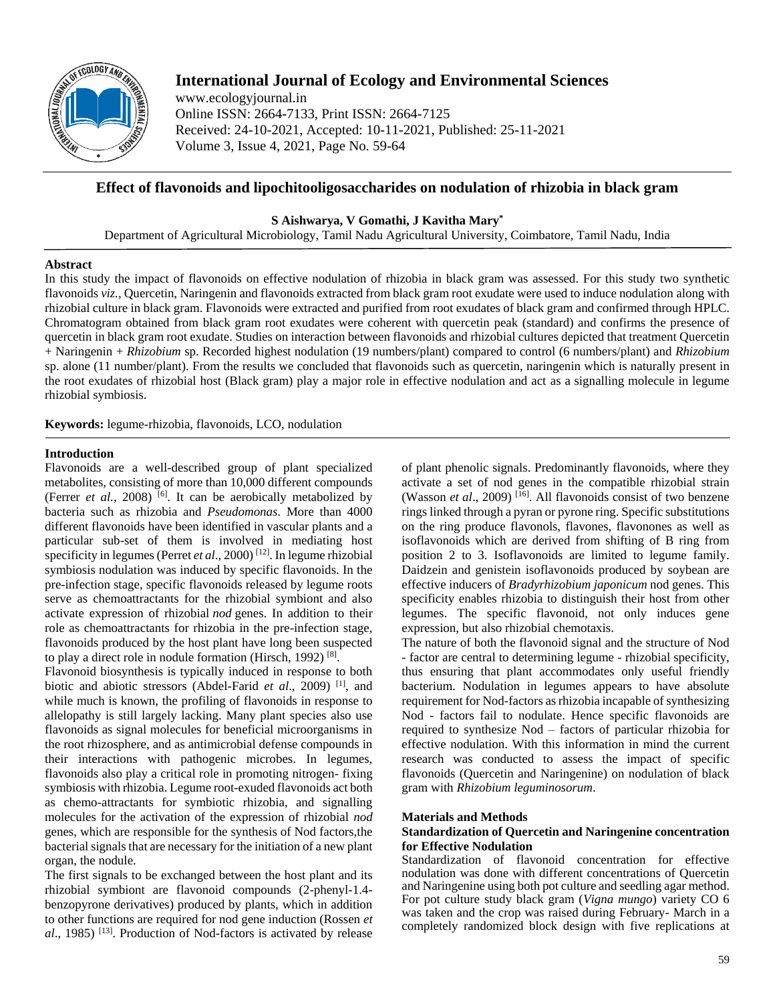

# **International Journal of Ecology and Environmental Sciences**

www.ecologyjournal.in Online ISSN: 2664-7133, Print ISSN: 2664-7125 Received: 24-10-2021, Accepted: 10-11-2021, Published: 25-11-2021 Volume 3, Issue 4, 2021, Page No. 59-64

# **Effect of flavonoids and lipochitooligosaccharides on nodulation of rhizobia in black gram**

**S Aishwarya, V Gomathi, J Kavitha Mary\***

Department of Agricultural Microbiology, Tamil Nadu Agricultural University, Coimbatore, Tamil Nadu, India

# **Abstract**

In this study the impact of flavonoids on effective nodulation of rhizobia in black gram was assessed. For this study two synthetic flavonoids *viz.,* Quercetin, Naringenin and flavonoids extracted from black gram root exudate were used to induce nodulation along with rhizobial culture in black gram. Flavonoids were extracted and purified from root exudates of black gram and confirmed through HPLC. Chromatogram obtained from black gram root exudates were coherent with quercetin peak (standard) and confirms the presence of quercetin in black gram root exudate. Studies on interaction between flavonoids and rhizobial cultures depicted that treatment Quercetin + Naringenin + *Rhizobium* sp. Recorded highest nodulation (19 numbers/plant) compared to control (6 numbers/plant) and *Rhizobium* sp. alone (11 number/plant). From the results we concluded that flavonoids such as quercetin, naringenin which is naturally present in the root exudates of rhizobial host (Black gram) play a major role in effective nodulation and act as a signalling molecule in legume rhizobial symbiosis.

**Keywords:** legume-rhizobia, flavonoids, LCO, nodulation

# **Introduction**

Flavonoids are a well-described group of plant specialized metabolites, consisting of more than 10,000 different compounds (Ferrer *et al.*, 2008)<sup>[6]</sup>. It can be aerobically metabolized by bacteria such as rhizobia and *Pseudomonas*. More than 4000 different flavonoids have been identified in vascular plants and a particular sub-set of them is involved in mediating host specificity in legumes (Perret *et al.*, 2000)<sup>[12]</sup>. In legume rhizobial symbiosis nodulation was induced by specific flavonoids. In the pre-infection stage, specific flavonoids released by legume roots serve as chemoattractants for the rhizobial symbiont and also activate expression of rhizobial *nod* genes. In addition to their role as chemoattractants for rhizobia in the pre-infection stage, flavonoids produced by the host plant have long been suspected to play a direct role in nodule formation (Hirsch, 1992)<sup>[8]</sup>.

Flavonoid biosynthesis is typically induced in response to both biotic and abiotic stressors (Abdel-Farid *et al.*, 2009)<sup>[1]</sup>, and while much is known, the profiling of flavonoids in response to allelopathy is still largely lacking. Many plant species also use flavonoids as signal molecules for beneficial microorganisms in the root rhizosphere, and as antimicrobial defense compounds in their interactions with pathogenic microbes. In legumes, flavonoids also play a critical role in promoting nitrogen- fixing symbiosis with rhizobia. Legume root-exuded flavonoids act both as chemo-attractants for symbiotic rhizobia, and signalling molecules for the activation of the expression of rhizobial *nod* genes, which are responsible for the synthesis of Nod factors,the bacterial signals that are necessary for the initiation of a new plant organ, the nodule.

The first signals to be exchanged between the host plant and its rhizobial symbiont are flavonoid compounds (2-phenyl-1.4 benzopyrone derivatives) produced by plants, which in addition to other functions are required for nod gene induction (Rossen *et*  al., 1985)<sup>[13]</sup>. Production of Nod-factors is activated by release of plant phenolic signals. Predominantly flavonoids, where they activate a set of nod genes in the compatible rhizobial strain (Wasson *et al.*, 2009)<sup>[16]</sup>. All flavonoids consist of two benzene rings linked through a pyran or pyrone ring. Specific substitutions on the ring produce flavonols, flavones, flavonones as well as isoflavonoids which are derived from shifting of B ring from position 2 to 3. Isoflavonoids are limited to legume family. Daidzein and genistein isoflavonoids produced by soybean are effective inducers of *Bradyrhizobium japonicum* nod genes. This specificity enables rhizobia to distinguish their host from other legumes. The specific flavonoid, not only induces gene expression, but also rhizobial chemotaxis.

The nature of both the flavonoid signal and the structure of Nod - factor are central to determining legume - rhizobial specificity, thus ensuring that plant accommodates only useful friendly bacterium. Nodulation in legumes appears to have absolute requirement for Nod-factors as rhizobia incapable of synthesizing Nod - factors fail to nodulate. Hence specific flavonoids are required to synthesize Nod – factors of particular rhizobia for effective nodulation. With this information in mind the current research was conducted to assess the impact of specific flavonoids (Quercetin and Naringenine) on nodulation of black gram with *Rhizobium leguminosorum*.

# **Materials and Methods**

#### **Standardization of Quercetin and Naringenine concentration for Effective Nodulation**

Standardization of flavonoid concentration for effective nodulation was done with different concentrations of Quercetin and Naringenine using both pot culture and seedling agar method. For pot culture study black gram (*Vigna mungo*) variety CO 6 was taken and the crop was raised during February- March in a completely randomized block design with five replications at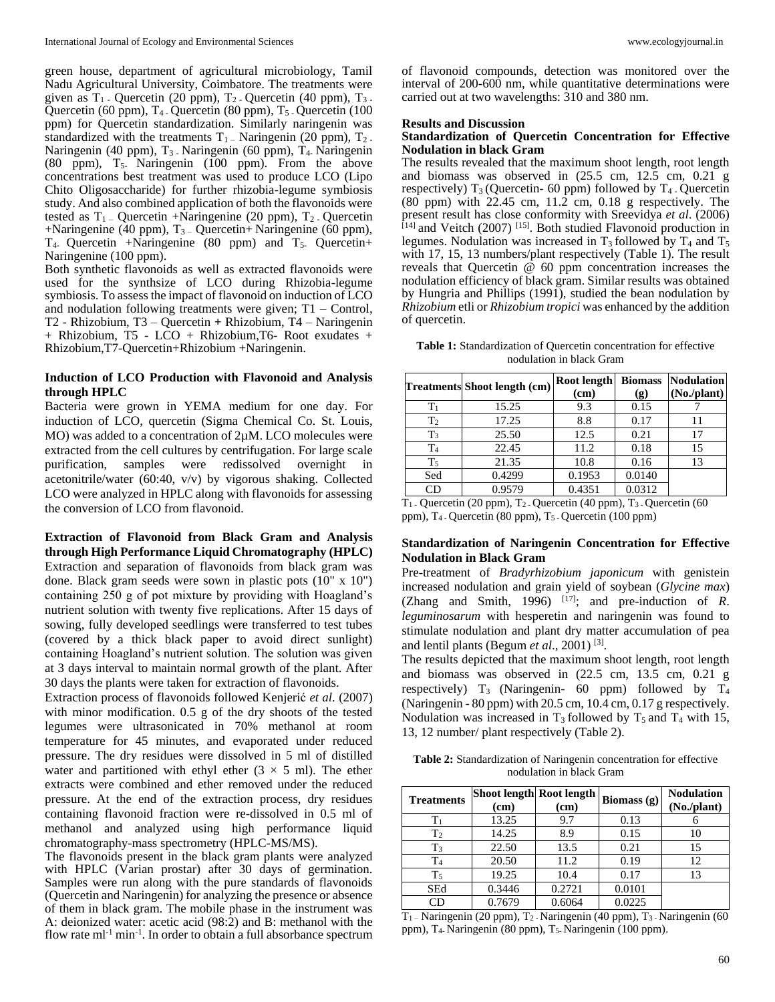green house, department of agricultural microbiology, Tamil Nadu Agricultural University, Coimbatore. The treatments were given as  $T_1$ . Quercetin (20 ppm),  $T_2$ . Quercetin (40 ppm),  $T_3$ . Quercetin (60 ppm), T<sub>4</sub>. Quercetin (80 ppm), T<sub>5</sub>. Quercetin (100 ppm) for Quercetin standardization. Similarly naringenin was standardized with the treatments  $T_1$  – Naringenin (20 ppm),  $T_2$ . Naringenin (40 ppm), T<sub>3</sub> Naringenin (60 ppm), T<sub>4</sub> Naringenin (80 ppm),  $T_5$ . Naringenin (100 ppm). From the above concentrations best treatment was used to produce LCO (Lipo Chito Oligosaccharide) for further rhizobia-legume symbiosis study. And also combined application of both the flavonoids were tested as  $T_1$  – Quercetin +Naringenine (20 ppm),  $T_2$  – Quercetin  $+N$ aringenine (40 ppm), T<sub>3</sub> – Quercetin $+N$ aringenine (60 ppm),  $T_4$ - Quercetin +Naringenine (80 ppm) and  $T_5$ - Quercetin+ Naringenine (100 ppm).

Both synthetic flavonoids as well as extracted flavonoids were used for the synthsize of LCO during Rhizobia-legume symbiosis. To assess the impact of flavonoid on induction of LCO and nodulation following treatments were given; T1 – Control, T2 - Rhizobium, T3 – Quercetin **+** Rhizobium, T4 – Naringenin + Rhizobium, T5 - LCO + Rhizobium,T6- Root exudates + Rhizobium,T7-Quercetin+Rhizobium +Naringenin.

#### **Induction of LCO Production with Flavonoid and Analysis through HPLC**

Bacteria were grown in YEMA medium for one day. For induction of LCO, quercetin (Sigma Chemical Co. St. Louis, MO) was added to a concentration of  $2\mu$ M. LCO molecules were extracted from the cell cultures by centrifugation. For large scale purification, samples were redissolved overnight in acetonitrile/water (60:40, v/v) by vigorous shaking. Collected LCO were analyzed in HPLC along with flavonoids for assessing the conversion of LCO from flavonoid.

**Extraction of Flavonoid from Black Gram and Analysis through High Performance Liquid Chromatography (HPLC)** Extraction and separation of flavonoids from black gram was done. Black gram seeds were sown in plastic pots (10" x 10") containing 250 g of pot mixture by providing with Hoagland's nutrient solution with twenty five replications. After 15 days of sowing, fully developed seedlings were transferred to test tubes (covered by a thick black paper to avoid direct sunlight) containing Hoagland's nutrient solution. The solution was given at 3 days interval to maintain normal growth of the plant. After 30 days the plants were taken for extraction of flavonoids.

Extraction process of flavonoids followed Kenjerić *et al*. (2007) with minor modification. 0.5 g of the dry shoots of the tested legumes were ultrasonicated in 70% methanol at room temperature for 45 minutes, and evaporated under reduced pressure. The dry residues were dissolved in 5 ml of distilled water and partitioned with ethyl ether  $(3 \times 5 \text{ ml})$ . The ether extracts were combined and ether removed under the reduced pressure. At the end of the extraction process, dry residues containing flavonoid fraction were re-dissolved in 0.5 ml of methanol and analyzed using high performance liquid chromatography-mass spectrometry (HPLC-MS/MS).

The flavonoids present in the black gram plants were analyzed with HPLC (Varian prostar) after 30 days of germination. Samples were run along with the pure standards of flavonoids (Quercetin and Naringenin) for analyzing the presence or absence of them in black gram. The mobile phase in the instrument was A: deionized water: acetic acid (98:2) and B: methanol with the flow rate ml<sup>-1</sup> min<sup>-1</sup>. In order to obtain a full absorbance spectrum

of flavonoid compounds, detection was monitored over the interval of 200-600 nm, while quantitative determinations were carried out at two wavelengths: 310 and 380 nm.

## **Results and Discussion**

#### **Standardization of Quercetin Concentration for Effective Nodulation in black Gram**

The results revealed that the maximum shoot length, root length and biomass was observed in (25.5 cm, 12.5 cm, 0.21 g respectively)  $T_3$  (Quercetin- 60 ppm) followed by  $T_4$ . Quercetin (80 ppm) with 22.45 cm, 11.2 cm, 0.18 g respectively. The present result has close conformity with Sreevidya *et al*. (2006) [14] and Veitch (2007) [15] . Both studied Flavonoid production in legumes. Nodulation was increased in  $T_3$  followed by  $T_4$  and  $T_5$ with 17, 15, 13 numbers/plant respectively (Table 1). The result reveals that Quercetin  $\overline{\omega}$  60 ppm concentration increases the nodulation efficiency of black gram. Similar results was obtained by Hungria and Phillips (1991), studied the bean nodulation by *Rhizobium* etli or *Rhizobium tropici* was enhanced by the addition of quercetin.

**Table 1:** Standardization of Quercetin concentration for effective nodulation in black Gram

|                | <b>Treatments Shoot length (cm)</b> | Root length<br>(cm) | <b>Biomass</b><br>(g) | <b>Nodulation</b><br>(No./plant) |
|----------------|-------------------------------------|---------------------|-----------------------|----------------------------------|
| $T_1$          | 15.25                               | 9.3                 | 0.15                  |                                  |
| T <sub>2</sub> | 17.25                               | 8.8                 | 0.17                  | 11                               |
| T <sub>3</sub> | 25.50                               | 12.5                | 0.21                  | 17                               |
| $\mathrm{T}_4$ | 22.45                               | 11.2                | 0.18                  | 15                               |
| T <sub>5</sub> | 21.35                               | 10.8                | 0.16                  | 13                               |
| Sed            | 0.4299                              | 0.1953              | 0.0140                |                                  |
| CD             | 0.9579                              | 0.4351              | 0.0312                |                                  |

 $T_1$ . Quercetin (20 ppm),  $T_2$ . Quercetin (40 ppm),  $T_3$ . Quercetin (60 ppm), T4 - Quercetin (80 ppm), T5 - Quercetin (100 ppm)

# **Standardization of Naringenin Concentration for Effective Nodulation in Black Gram**

Pre-treatment of *Bradyrhizobium japonicum* with genistein increased nodulation and grain yield of soybean (*Glycine max*) (Zhang and Smith, 1996)  $[17]$ ; and pre-induction of *R*. *leguminosarum* with hesperetin and naringenin was found to stimulate nodulation and plant dry matter accumulation of pea and lentil plants (Begum *et al*., 2001) [3] .

The results depicted that the maximum shoot length, root length and biomass was observed in (22.5 cm, 13.5 cm, 0.21 g respectively)  $T_3$  (Naringenin- 60 ppm) followed by  $T_4$ (Naringenin - 80 ppm) with 20.5 cm, 10.4 cm, 0.17 g respectively. Nodulation was increased in  $T_3$  followed by  $T_5$  and  $T_4$  with 15, 13, 12 number/ plant respectively (Table 2).

**Table 2:** Standardization of Naringenin concentration for effective nodulation in black Gram

| <b>Treatments</b> | Shoot length Root length<br>(cm) | (cm)   | Biomass $(g)$ | <b>Nodulation</b><br>(No./plant) |
|-------------------|----------------------------------|--------|---------------|----------------------------------|
| $T_1$             | 13.25                            | 9.7    | 0.13          |                                  |
| T <sub>2</sub>    | 14.25                            | 8.9    | 0.15          | 10                               |
| $T_3$             | 22.50                            | 13.5   | 0.21          | 15                               |
| T <sub>4</sub>    | 20.50                            | 11.2   | 0.19          | 12                               |
| $T_5$             | 19.25                            | 10.4   | 0.17          | 13                               |
| <b>SEd</b>        | 0.3446                           | 0.2721 | 0.0101        |                                  |
|                   | 0.7679                           | 0.6064 | 0.0225        |                                  |

T1 – Naringenin (20 ppm), T2 - Naringenin (40 ppm), T3 - Naringenin (60 ppm), T<sub>4</sub>- Naringenin (80 ppm), T<sub>5</sub>- Naringenin (100 ppm).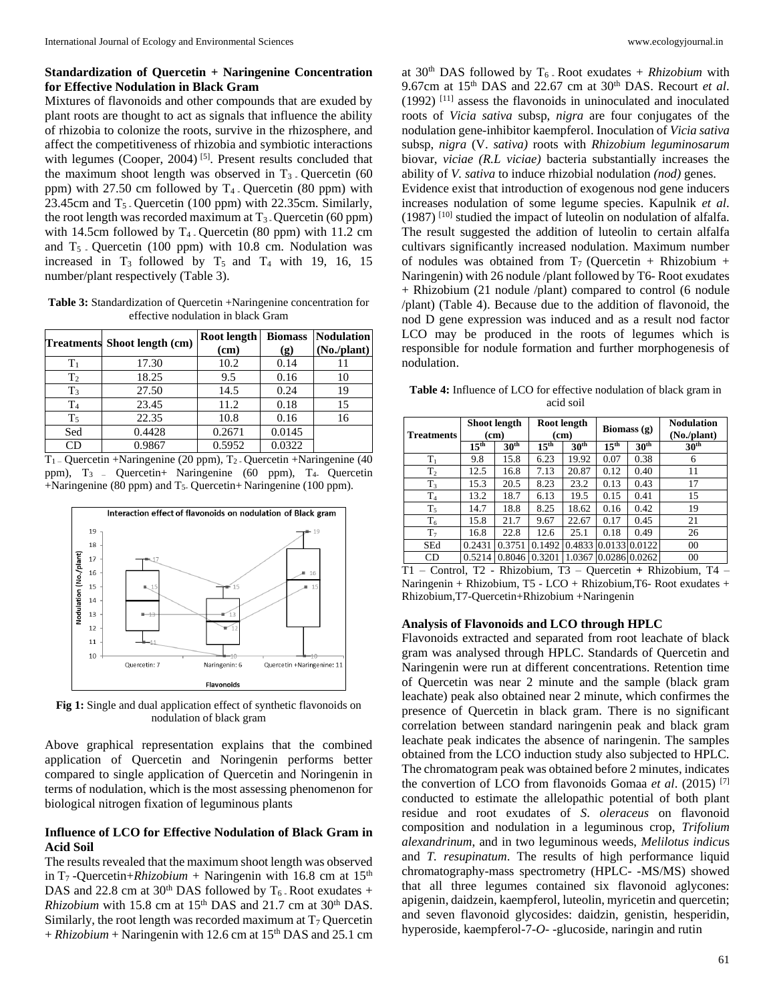## **Standardization of Quercetin + Naringenine Concentration for Effective Nodulation in Black Gram**

Mixtures of flavonoids and other compounds that are exuded by plant roots are thought to act as signals that influence the ability of rhizobia to colonize the roots, survive in the rhizosphere, and affect the competitiveness of rhizobia and symbiotic interactions with legumes (Cooper,  $2004$ )<sup>[5]</sup>. Present results concluded that the maximum shoot length was observed in  $T_3$ . Quercetin (60) ppm) with  $27.50$  cm followed by  $T_4$ . Quercetin (80 ppm) with 23.45cm and  $T_5$ . Quercetin (100 ppm) with 22.35cm. Similarly, the root length was recorded maximum at  $T_3$ . Quercetin (60 ppm) with 14.5cm followed by  $T_4$ . Quercetin (80 ppm) with 11.2 cm and  $T_5$ . Quercetin (100 ppm) with 10.8 cm. Nodulation was increased in  $T_3$  followed by  $T_5$  and  $T_4$  with 19, 16, 15 number/plant respectively (Table 3).

**Table 3:** Standardization of Quercetin +Naringenine concentration for effective nodulation in black Gram

|                | Treatments Shoot length (cm) | Root length<br>(cm) |        | <b>Nodulation</b><br>(No./plant) |
|----------------|------------------------------|---------------------|--------|----------------------------------|
| $\rm T_1$      | 17.30                        | 10.2                | 0.14   | 11                               |
| T <sub>2</sub> | 18.25                        | 9.5                 | 0.16   | 10                               |
| $T_3$          | 27.50                        | 14.5                | 0.24   | 19                               |
| T <sub>4</sub> | 23.45                        | 11.2                | 0.18   | 15                               |
| $T_5$          | 22.35                        | 10.8                | 0.16   | 16                               |
| Sed            | 0.4428                       | 0.2671              | 0.0145 |                                  |
| CD             | 0.9867                       | 0.5952              | 0.0322 |                                  |

 $T_1$  – Quercetin +Naringenine (20 ppm),  $T_2$  - Quercetin +Naringenine (40 ppm), T3 – Quercetin+ Naringenine (60 ppm), T4- Quercetin +Naringenine (80 ppm) and T5- Quercetin+ Naringenine (100 ppm).



**Fig 1:** Single and dual application effect of synthetic flavonoids on nodulation of black gram

Above graphical representation explains that the combined application of Quercetin and Noringenin performs better compared to single application of Quercetin and Noringenin in terms of nodulation, which is the most assessing phenomenon for biological nitrogen fixation of leguminous plants

#### **Influence of LCO for Effective Nodulation of Black Gram in Acid Soil**

The results revealed that the maximum shoot length was observed in T<sub>7</sub>-Quercetin+*Rhizobium* + Naringenin with 16.8 cm at 15<sup>th</sup> DAS and 22.8 cm at  $30<sup>th</sup>$  DAS followed by T<sub>6</sub>. Root exudates + *Rhizobium* with 15.8 cm at 15<sup>th</sup> DAS and 21.7 cm at 30<sup>th</sup> DAS. Similarly, the root length was recorded maximum at  $T_7$  Quercetin  $+ Rhizobium + Naringenin with 12.6 cm at 15<sup>th</sup> DAS and 25.1 cm$ 

at  $30<sup>th</sup>$  DAS followed by T<sub>6</sub>. Root exudates + *Rhizobium* with 9.67cm at 15th DAS and 22.67 cm at 30th DAS. Recourt *et al*. (1992) [11] assess the flavonoids in uninoculated and inoculated roots of *Vicia sativa* subsp, *nigra* are four conjugates of the nodulation gene-inhibitor kaempferol. Inoculation of *Vicia sativa*  subsp, *nigra* (V. *sativa)* roots with *Rhizobium leguminosarum*  biovar, *viciae (R.L viciae)* bacteria substantially increases the ability of *V. sativa* to induce rhizobial nodulation *(nod)* genes. Evidence exist that introduction of exogenous nod gene inducers increases nodulation of some legume species. Kapulnik *et al*.  $(1987)$ <sup>[10]</sup> studied the impact of luteolin on nodulation of alfalfa. The result suggested the addition of luteolin to certain alfalfa cultivars significantly increased nodulation. Maximum number of nodules was obtained from  $T_7$  (Quercetin + Rhizobium + Naringenin) with 26 nodule /plant followed by T6- Root exudates + Rhizobium (21 nodule /plant) compared to control (6 nodule /plant) (Table 4). Because due to the addition of flavonoid, the nod D gene expression was induced and as a result nod factor LCO may be produced in the roots of legumes which is responsible for nodule formation and further morphogenesis of nodulation.

**Table 4:** Influence of LCO for effective nodulation of black gram in acid soil

| <b>Treatments</b> | Shoot length<br>(cm) |                  | Root length<br>(cm) |                  | Biomass $(g)$    |                  | <b>Nodulation</b><br>(No./plant) |
|-------------------|----------------------|------------------|---------------------|------------------|------------------|------------------|----------------------------------|
|                   | $15^{\text{th}}$     | $30^{\text{th}}$ | 15 <sup>th</sup>    | 30 <sup>th</sup> | 15 <sup>th</sup> | 30 <sup>th</sup> | 30 <sup>th</sup>                 |
| $T_1$             | 9.8                  | 15.8             | 6.23                | 19.92            | 0.07             | 0.38             | 6                                |
| T <sub>2</sub>    | 12.5                 | 16.8             | 7.13                | 20.87            | 0.12             | 0.40             | 11                               |
| $T_3$             | 15.3                 | 20.5             | 8.23                | 23.2             | 0.13             | 0.43             | 17                               |
| T <sub>4</sub>    | 13.2                 | 18.7             | 6.13                | 19.5             | 0.15             | 0.41             | 15                               |
| $T_5$             | 14.7                 | 18.8             | 8.25                | 18.62            | 0.16             | 0.42             | 19                               |
| $T_6$             | 15.8                 | 21.7             | 9.67                | 22.67            | 0.17             | 0.45             | 21                               |
| T <sub>7</sub>    | 16.8                 | 22.8             | 12.6                | 25.1             | 0.18             | 0.49             | 26                               |
| <b>SEd</b>        | 0.2431               | 0.3751           | 0.1492              | 0.4833           |                  | 0.0133 0.0122    | 00                               |
| CD                | 0.5214               | 0.8046           | 0.3201              | 1.0367           |                  | 0.028610.0262    | 00                               |

T1 – Control, T2 - Rhizobium, T3 – Quercetin **+** Rhizobium, T4 – Naringenin + Rhizobium, T5 - LCO + Rhizobium,T6- Root exudates + Rhizobium,T7-Quercetin+Rhizobium +Naringenin

# **Analysis of Flavonoids and LCO through HPLC**

Flavonoids extracted and separated from root leachate of black gram was analysed through HPLC. Standards of Quercetin and Naringenin were run at different concentrations. Retention time of Quercetin was near 2 minute and the sample (black gram leachate) peak also obtained near 2 minute, which confirmes the presence of Quercetin in black gram. There is no significant correlation between standard naringenin peak and black gram leachate peak indicates the absence of naringenin. The samples obtained from the LCO induction study also subjected to HPLC. The chromatogram peak was obtained before 2 minutes, indicates the convertion of LCO from flavonoids Gomaa *et al*. (2015) [7] conducted to estimate the allelopathic potential of both plant residue and root exudates of *S*. *oleraceus* on flavonoid composition and nodulation in a leguminous crop, *Trifolium alexandrinum*, and in two leguminous weeds, *Melilotus indicu*s and *T. resupinatum*. The results of high performance liquid chromatography-mass spectrometry (HPLC- -MS/MS) showed that all three legumes contained six flavonoid aglycones: apigenin, daidzein, kaempferol, luteolin, myricetin and quercetin; and seven flavonoid glycosides: daidzin, genistin, hesperidin, hyperoside, kaempferol-7-*O-* -glucoside, naringin and rutin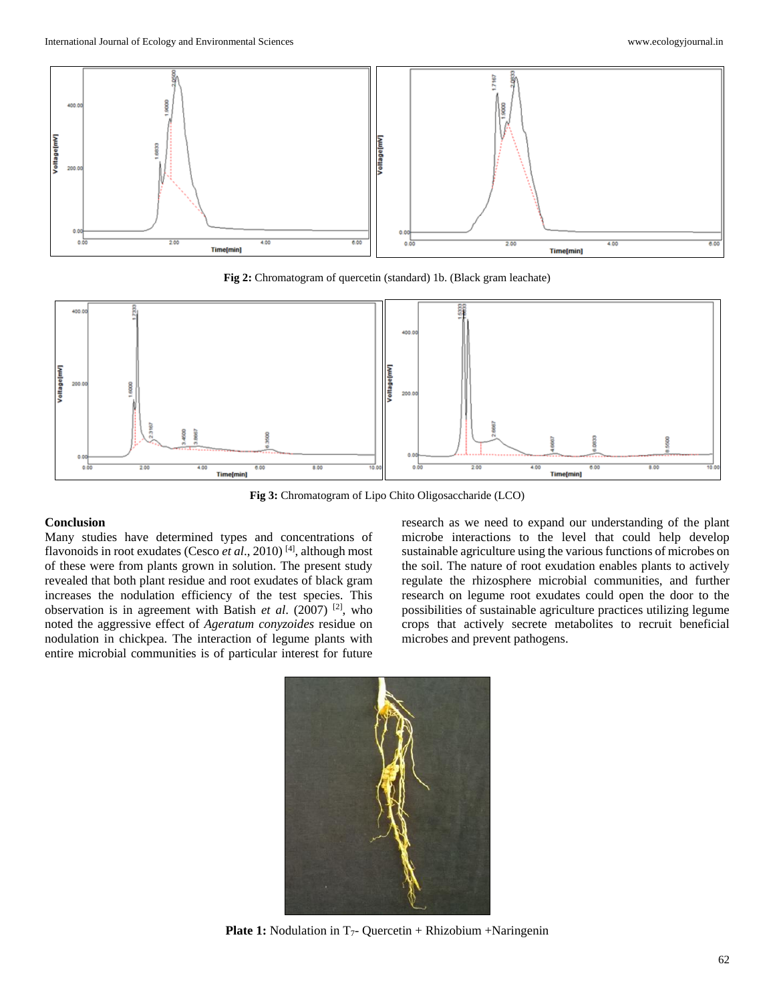

**Fig 2:** Chromatogram of quercetin (standard) 1b. (Black gram leachate)



**Fig 3:** Chromatogram of Lipo Chito Oligosaccharide (LCO)

# **Conclusion**

Many studies have determined types and concentrations of flavonoids in root exudates (Cesco *et al*., 2010) [4] , although most of these were from plants grown in solution. The present study revealed that both plant residue and root exudates of black gram increases the nodulation efficiency of the test species. This observation is in agreement with Batish *et al*. (2007) [2] , who noted the aggressive effect of *Ageratum conyzoides* residue on nodulation in chickpea. The interaction of legume plants with entire microbial communities is of particular interest for future

research as we need to expand our understanding of the plant microbe interactions to the level that could help develop sustainable agriculture using the various functions of microbes on the soil. The nature of root exudation enables plants to actively regulate the rhizosphere microbial communities, and further research on legume root exudates could open the door to the possibilities of sustainable agriculture practices utilizing legume crops that actively secrete metabolites to recruit beneficial microbes and prevent pathogens.



**Plate 1:** Nodulation in T<sub>7</sub>- Quercetin + Rhizobium +Naringenin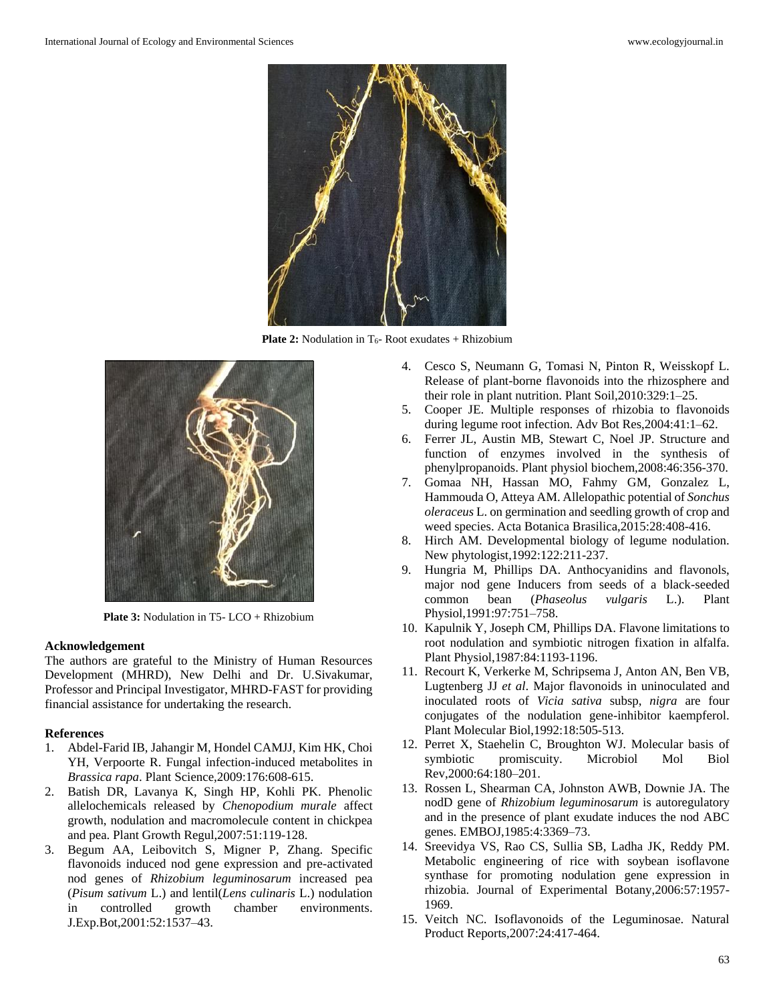

**Plate 2:** Nodulation in T<sub>6</sub>- Root exudates + Rhizobium



**Plate 3:** Nodulation in T5- LCO + Rhizobium

#### **Acknowledgement**

The authors are grateful to the Ministry of Human Resources Development (MHRD), New Delhi and Dr. U.Sivakumar, Professor and Principal Investigator, MHRD-FAST for providing financial assistance for undertaking the research.

#### **References**

- 1. Abdel-Farid IB, Jahangir M, Hondel CAMJJ, Kim HK, Choi YH, Verpoorte R. Fungal infection-induced metabolites in *Brassica rapa*. Plant Science,2009:176:608-615.
- 2. Batish DR, Lavanya K, Singh HP, Kohli PK. Phenolic allelochemicals released by *Chenopodium murale* affect growth, nodulation and macromolecule content in chickpea and pea. Plant Growth Regul,2007:51:119-128.
- 3. Begum AA, Leibovitch S, Migner P, Zhang. Specific flavonoids induced nod gene expression and pre-activated nod genes of *Rhizobium leguminosarum* increased pea (*Pisum sativum* L.) and lentil(*Lens culinaris* L.) nodulation in controlled growth chamber environments. J.Exp.Bot,2001:52:1537–43.
- 4. Cesco S, Neumann G, Tomasi N, Pinton R, Weisskopf L. Release of plant-borne flavonoids into the rhizosphere and their role in plant nutrition. Plant Soil,2010:329:1–25.
- 5. Cooper JE. Multiple responses of rhizobia to flavonoids during legume root infection. Adv Bot Res,2004:41:1–62.
- 6. Ferrer JL, Austin MB, Stewart C, Noel JP. Structure and function of enzymes involved in the synthesis of phenylpropanoids. Plant physiol biochem,2008:46:356-370.
- 7. Gomaa NH, Hassan MO, Fahmy GM, Gonzalez L, Hammouda O, Atteya AM. Allelopathic potential of *Sonchus oleraceus* L. on germination and seedling growth of crop and weed species. Acta Botanica Brasilica,2015:28:408-416.
- 8. Hirch AM. Developmental biology of legume nodulation. New phytologist,1992:122:211-237.
- 9. Hungria M, Phillips DA. Anthocyanidins and flavonols, major nod gene Inducers from seeds of a black-seeded common bean (*Phaseolus vulgaris* L.). Plant Physiol,1991:97:751–758.
- 10. Kapulnik Y, Joseph CM, Phillips DA. Flavone limitations to root nodulation and symbiotic nitrogen fixation in alfalfa. Plant Physiol,1987:84:1193-1196.
- 11. Recourt K, Verkerke M, Schripsema J, Anton AN, Ben VB, Lugtenberg JJ *et al*. Major flavonoids in uninoculated and inoculated roots of *Vicia sativa* subsp, *nigra* are four conjugates of the nodulation gene-inhibitor kaempferol. Plant Molecular Biol,1992:18:505-513.
- 12. Perret X, Staehelin C, Broughton WJ. Molecular basis of symbiotic promiscuity. Microbiol Mol Biol Rev,2000:64:180–201.
- 13. Rossen L, Shearman CA, Johnston AWB, Downie JA. The nodD gene of *Rhizobium leguminosarum* is autoregulatory and in the presence of plant exudate induces the nod ABC genes. EMBOJ,1985:4:3369–73.
- 14. Sreevidya VS, Rao CS, Sullia SB, Ladha JK, Reddy PM. Metabolic engineering of rice with soybean isoflavone synthase for promoting nodulation gene expression in rhizobia. Journal of Experimental Botany,2006:57:1957- 1969.
- 15. Veitch NC. Isoflavonoids of the Leguminosae. Natural Product Reports,2007:24:417-464.